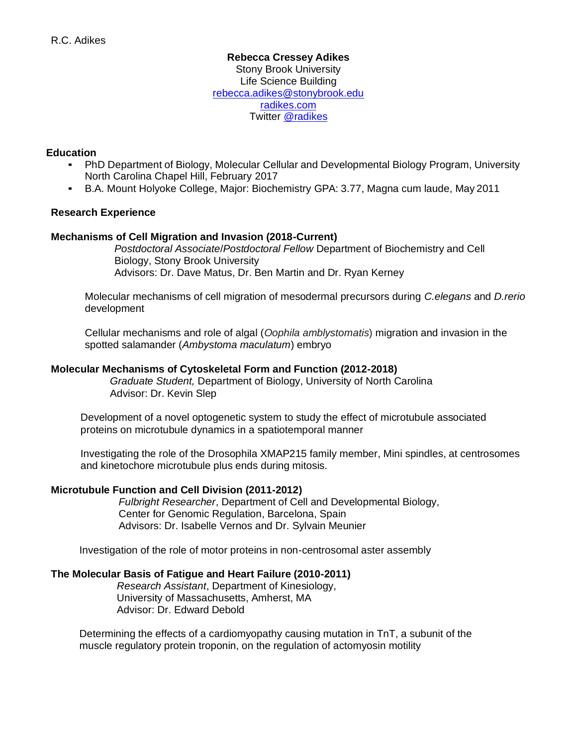## **Rebecca Cressey Adikes**  Stony Brook University Life Science Building [rebecca.adikes@stonybrook.edu](mailto:rebecca.adikes@stonybrook.edu) [radikes.com](http://radikes.com/) Twitter [@radikes](https://twitter.com/radikes)

# **Education**

- PhD Department of Biology, Molecular Cellular and Developmental Biology Program, University North Carolina Chapel Hill, February 2017
- B.A. Mount Holyoke College, Major: Biochemistry GPA: 3.77, Magna cum laude, May 2011

## **Research Experience**

## **Mechanisms of Cell Migration and Invasion (2018-Current)**

*Postdoctoral Associate*/*Postdoctoral Fellow* Department of Biochemistry and Cell Biology, Stony Brook University Advisors: Dr. Dave Matus, Dr. Ben Martin and Dr. Ryan Kerney

Molecular mechanisms of cell migration of mesodermal precursors during *C.elegans* and *D.rerio* development

Cellular mechanisms and role of algal (*Oophila amblystomatis*) migration and invasion in the spotted salamander (*Ambystoma maculatum*) embryo

### **Molecular Mechanisms of Cytoskeletal Form and Function (2012-2018)**

*Graduate Student,* Department of Biology, University of North Carolina Advisor: Dr. Kevin Slep

Development of a novel optogenetic system to study the effect of microtubule associated proteins on microtubule dynamics in a spatiotemporal manner

Investigating the role of the Drosophila XMAP215 family member, Mini spindles, at centrosomes and kinetochore microtubule plus ends during mitosis.

#### **Microtubule Function and Cell Division (2011-2012)**

*Fulbright Researcher*, Department of Cell and Developmental Biology, Center for Genomic Regulation, Barcelona, Spain Advisors: Dr. Isabelle Vernos and Dr. Sylvain Meunier

Investigation of the role of motor proteins in non-centrosomal aster assembly

## **The Molecular Basis of Fatigue and Heart Failure (2010-2011)**

*Research Assistant*, Department of Kinesiology, University of Massachusetts, Amherst, MA Advisor: Dr. Edward Debold

Determining the effects of a cardiomyopathy causing mutation in TnT, a subunit of the muscle regulatory protein troponin, on the regulation of actomyosin motility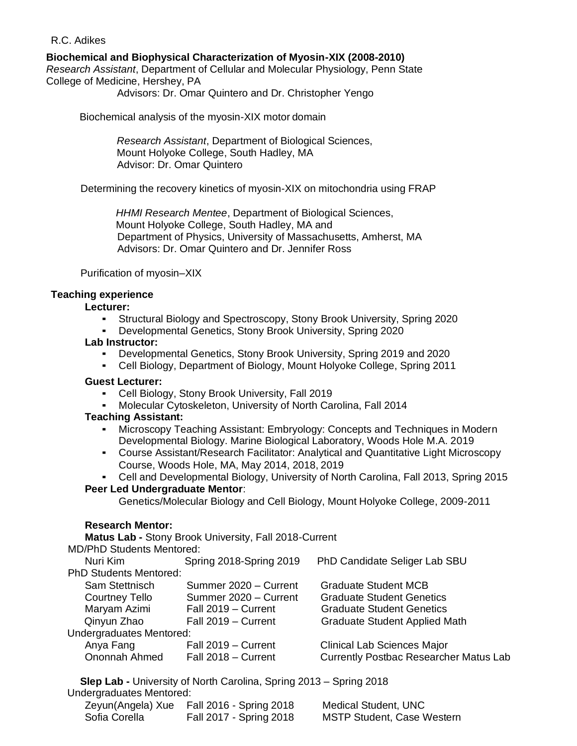**Biochemical and Biophysical Characterization of Myosin-XIX (2008-2010)** 

*Research Assistant*, Department of Cellular and Molecular Physiology, Penn State College of Medicine, Hershey, PA

Advisors: Dr. Omar Quintero and Dr. Christopher Yengo

Biochemical analysis of the myosin-XIX motor domain

*Research Assistant*, Department of Biological Sciences, Mount Holyoke College, South Hadley, MA Advisor: Dr. Omar Quintero

Determining the recovery kinetics of myosin-XIX on mitochondria using FRAP

*HHMI Research Mentee*, Department of Biological Sciences, Mount Holyoke College, South Hadley, MA and Department of Physics, University of Massachusetts, Amherst, MA Advisors: Dr. Omar Quintero and Dr. Jennifer Ross

Purification of myosin–XIX

# **Teaching experience**

#### **Lecturer:**

- Structural Biology and Spectroscopy, Stony Brook University, Spring 2020
- Developmental Genetics, Stony Brook University, Spring 2020

#### **Lab Instructor:**

- Developmental Genetics, Stony Brook University, Spring 2019 and 2020
- Cell Biology, Department of Biology, Mount Holyoke College, Spring 2011

#### **Guest Lecturer:**

- Cell Biology, Stony Brook University, Fall 2019
- Molecular Cytoskeleton, University of North Carolina, Fall 2014

#### **Teaching Assistant:**

- Microscopy Teaching Assistant: Embryology: Concepts and Techniques in Modern Developmental Biology. Marine Biological Laboratory, Woods Hole M.A. 2019
- Course Assistant/Research Facilitator: Analytical and Quantitative Light Microscopy Course, Woods Hole, MA, May 2014, 2018, 2019
- Cell and Developmental Biology, University of North Carolina, Fall 2013, Spring 2015

#### **Peer Led Undergraduate Mentor**:

Genetics/Molecular Biology and Cell Biology, Mount Holyoke College, 2009-2011

#### **Research Mentor:**

**Matus Lab -** Stony Brook University, Fall 2018-Current

MD/PhD Students Mentored:

| Nuri Kim                      | Spring 2018-Spring 2019 | PhD Candidate Seliger Lab SBU                 |
|-------------------------------|-------------------------|-----------------------------------------------|
| <b>PhD Students Mentored:</b> |                         |                                               |
| Sam Stettnisch                | Summer 2020 - Current   | <b>Graduate Student MCB</b>                   |
| Courtney Tello                | Summer 2020 - Current   | <b>Graduate Student Genetics</b>              |
| Maryam Azimi                  | Fall 2019 - Current     | <b>Graduate Student Genetics</b>              |
| Qinyun Zhao                   | Fall 2019 - Current     | <b>Graduate Student Applied Math</b>          |
| Undergraduates Mentored:      |                         |                                               |
| Anya Fang                     | Fall 2019 - Current     | <b>Clinical Lab Sciences Major</b>            |
| Ononnah Ahmed                 | Fall 2018 - Current     | <b>Currently Postbac Researcher Matus Lab</b> |
|                               |                         |                                               |

**Slep Lab -** University of North Carolina, Spring 2013 – Spring 2018 Undergraduates Mentored:

|               | Zeyun(Angela) Xue Fall 2016 - Spring 2018 | <b>Medical Student, UNC</b>       |
|---------------|-------------------------------------------|-----------------------------------|
| Sofia Corella | Fall 2017 - Spring 2018                   | <b>MSTP Student, Case Western</b> |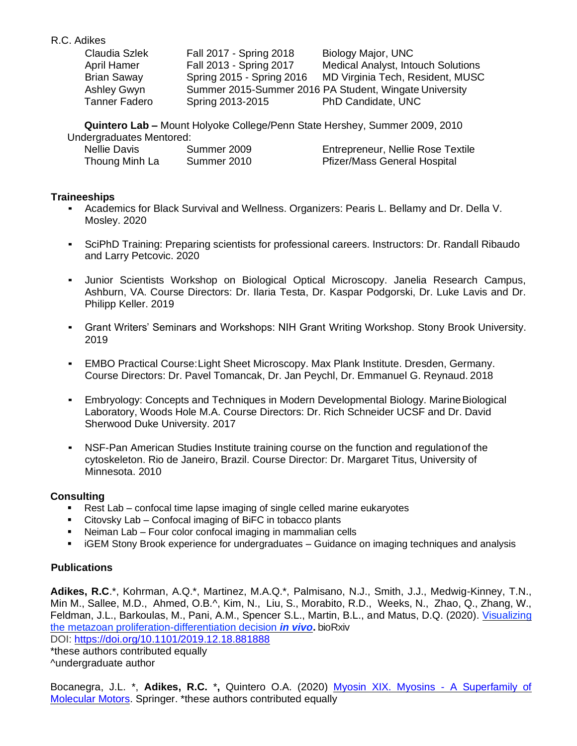| Claudia Szlek      | Fall 2017 - Spring 2018   | Biology Major, UNC                                     |
|--------------------|---------------------------|--------------------------------------------------------|
| April Hamer        | Fall 2013 - Spring 2017   | <b>Medical Analyst, Intouch Solutions</b>              |
| <b>Brian Saway</b> | Spring 2015 - Spring 2016 | MD Virginia Tech, Resident, MUSC                       |
| Ashley Gwyn        |                           | Summer 2015-Summer 2016 PA Student, Wingate University |
| Tanner Fadero      | Spring 2013-2015          | PhD Candidate, UNC                                     |

**Quintero Lab –** Mount Holyoke College/Penn State Hershey, Summer 2009, 2010

| Undergraduates Mentored: |             |                                     |
|--------------------------|-------------|-------------------------------------|
| Nellie Davis             | Summer 2009 | Entrepreneur, Nellie Rose Textile   |
| Thoung Minh La           | Summer 2010 | <b>Pfizer/Mass General Hospital</b> |

# **Traineeships**

- Academics for Black Survival and Wellness. Organizers: Pearis L. Bellamy and Dr. Della V. Mosley. 2020
- SciPhD Training: Preparing scientists for professional careers. Instructors: Dr. Randall Ribaudo and Larry Petcovic. 2020
- Junior Scientists Workshop on Biological Optical Microscopy. Janelia Research Campus, Ashburn, VA. Course Directors: Dr. Ilaria Testa, Dr. Kaspar Podgorski, Dr. Luke Lavis and Dr. Philipp Keller. 2019
- Grant Writers' Seminars and Workshops: NIH Grant Writing Workshop. Stony Brook University. 2019
- **EMBO Practical Course: Light Sheet Microscopy. Max Plank Institute. Dresden, Germany.** Course Directors: Dr. Pavel Tomancak, Dr. Jan Peychl, Dr. Emmanuel G. Reynaud. 2018
- **Embryology: Concepts and Techniques in Modern Developmental Biology. Marine Biological** Laboratory, Woods Hole M.A. Course Directors: Dr. Rich Schneider UCSF and Dr. David Sherwood Duke University. 2017
- NSF-Pan American Studies Institute training course on the function and regulationof the cytoskeleton. Rio de Janeiro, Brazil. Course Director: Dr. Margaret Titus, University of Minnesota. 2010

# **Consulting**

- Rest Lab confocal time lapse imaging of single celled marine eukaryotes
- Citovsky Lab Confocal imaging of BiFC in tobacco plants
- Neiman Lab Four color confocal imaging in mammalian cells
- iGEM Stony Brook experience for undergraduates Guidance on imaging techniques and analysis

# **Publications**

**Adikes, R.C**.\*, Kohrman, A.Q.\*, Martinez, M.A.Q.\*, Palmisano, N.J., Smith, J.J., Medwig-Kinney, T.N., Min M., Sallee, M.D., Ahmed, O.B.^, Kim, N., Liu, S., Morabito, R.D., Weeks, N., Zhao, Q., Zhang, W., Feldman, J.L., Barkoulas, M., Pani, A.M., Spencer S.L., Martin, B.L., and Matus, D.Q. (2020). [Visualizing](https://www.biorxiv.org/content/10.1101/2019.12.18.881888v3)  [the metazoan proliferation-differentiation decision](https://www.biorxiv.org/content/10.1101/2019.12.18.881888v3) *in vivo***.** bioRxiv

DOI: <https://doi.org/10.1101/2019.12.18.881888>

\*these authors contributed equally ^undergraduate author

Bocanegra, J.L. \*, **Adikes, R.C.** \***,** Quintero O.A. (2020) [Myosin XIX. Myosins -](https://www.springer.com/us/book/9783030380618) A Superfamily of [Molecular Motors.](https://www.springer.com/us/book/9783030380618) Springer. \*these authors contributed equally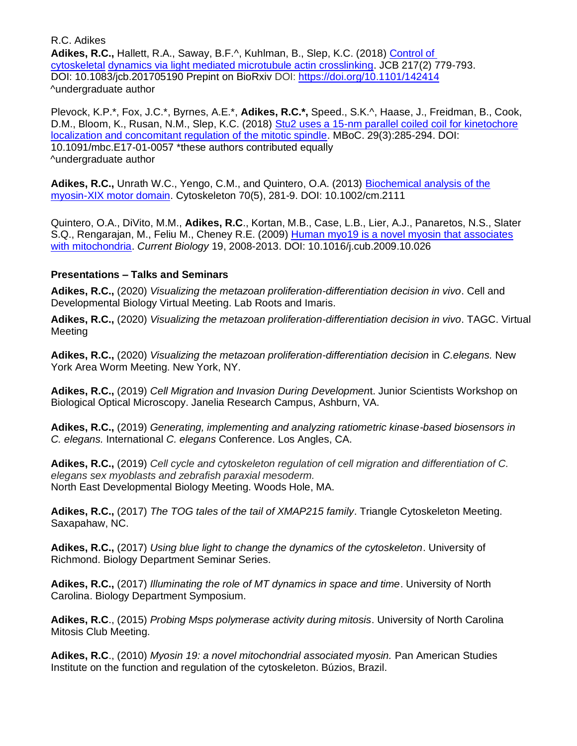**Adikes, R.C.,** Hallett, R.A., Saway, B.F.^, Kuhlman, B., Slep, K.C. (2018) [Control of](http://jcb.rupress.org/content/217/2/779)  [cytoskeletal](http://jcb.rupress.org/content/217/2/779) [dynamics via light mediated microtubule actin crosslinking.](http://jcb.rupress.org/content/217/2/779) JCB 217(2) 779-793. DOI: 10.1083/jcb.201705190 Prepint on BioRxiv DOI:<https://doi.org/10.1101/142414> ^undergraduate author

Plevock, K.P.\*, Fox, J.C.\*, Byrnes, A.E.\*, **Adikes, R.C.\*,** Speed., S.K.^, Haase, J., Freidman, B., Cook, D.M., Bloom, K., Rusan, N.M., Slep, K.C. (2018) [Stu2 uses a 15-nm parallel coiled coil for kinetochore](https://www.molbiolcell.org/doi/abs/10.1091/mbc.E17-01-0057) [localization and concomitant regulation of the mitotic spindle.](https://www.molbiolcell.org/doi/abs/10.1091/mbc.E17-01-0057) MBoC. 29(3):285-294. DOI: 10.1091/mbc.E17-01-0057 \*these authors contributed equally ^undergraduate author

**Adikes, R.C.,** Unrath W.C., Yengo, C.M., and Quintero, O.A. (2013) [Biochemical analysis of the](https://onlinelibrary.wiley.com/doi/abs/10.1002/cm.21110) [myosin-XIX motor domain.](https://onlinelibrary.wiley.com/doi/abs/10.1002/cm.21110) Cytoskeleton 70(5), 281-9. DOI: 10.1002/cm.2111

Quintero, O.A., DiVito, M.M., **Adikes, R.C**., Kortan, M.B., Case, L.B., Lier, A.J., Panaretos, N.S., Slater S.Q., Rengarajan, M., Feliu M., Cheney R.E. (2009) [Human myo19 is a novel myosin that associates](https://www.sciencedirect.com/science/article/pii/S0960982209018454?via%3Dihub) [with mitochondria.](https://www.sciencedirect.com/science/article/pii/S0960982209018454?via%3Dihub) *Current Biology* 19, 2008-2013. DOI: 10.1016/j.cub.2009.10.026

# **Presentations – Talks and Seminars**

**Adikes, R.C.,** (2020) *Visualizing the metazoan proliferation-differentiation decision in vivo*. Cell and Developmental Biology Virtual Meeting. Lab Roots and Imaris.

**Adikes, R.C.,** (2020) *Visualizing the metazoan proliferation-differentiation decision in vivo*. TAGC. Virtual **Meeting** 

**Adikes, R.C.,** (2020) *Visualizing the metazoan proliferation-differentiation decision* in *C.elegans.* New York Area Worm Meeting. New York, NY.

**Adikes, R.C.,** (2019) *Cell Migration and Invasion During Developmen*t. Junior Scientists Workshop on Biological Optical Microscopy. Janelia Research Campus, Ashburn, VA.

**Adikes, R.C.,** (2019) *Generating, implementing and analyzing ratiometric kinase-based biosensors in C. elegans.* International *C. elegans* Conference. Los Angles, CA.

**Adikes, R.C.,** (2019) *Cell cycle and cytoskeleton regulation of cell migration and differentiation of C. elegans sex myoblasts and zebrafish paraxial mesoderm.* North East Developmental Biology Meeting. Woods Hole, MA.

**Adikes, R.C.,** (2017) *The TOG tales of the tail of XMAP215 family*. Triangle Cytoskeleton Meeting. Saxapahaw, NC.

**Adikes, R.C.,** (2017) *Using blue light to change the dynamics of the cytoskeleton*. University of Richmond. Biology Department Seminar Series.

**Adikes, R.C.,** (2017) *Illuminating the role of MT dynamics in space and time*. University of North Carolina. Biology Department Symposium.

**Adikes, R.C**., (2015) *Probing Msps polymerase activity during mitosis*. University of North Carolina Mitosis Club Meeting.

**Adikes, R.C**., (2010) *Myosin 19: a novel mitochondrial associated myosin.* Pan American Studies Institute on the function and regulation of the cytoskeleton. Búzios, Brazil.